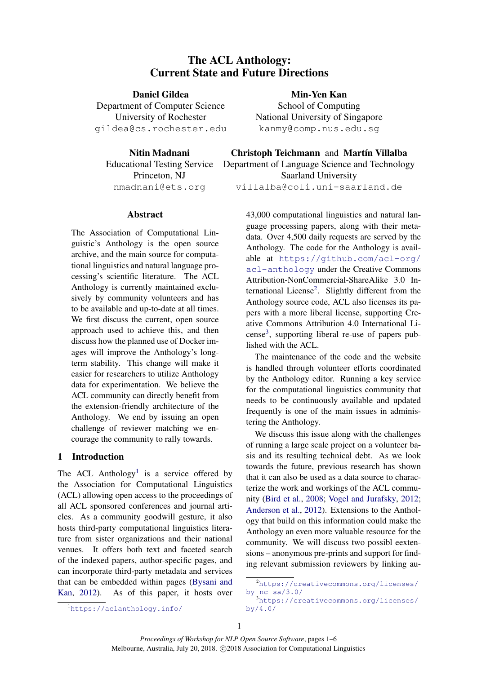# The ACL Anthology: Current State and Future Directions

Daniel Gildea Department of Computer Science University of Rochester gildea@cs.rochester.edu

Nitin Madnani Educational Testing Service Princeton, NJ nmadnani@ets.org

### Abstract

The Association of Computational Linguistic's Anthology is the open source archive, and the main source for computational linguistics and natural language processing's scientific literature. The ACL Anthology is currently maintained exclusively by community volunteers and has to be available and up-to-date at all times. We first discuss the current, open source approach used to achieve this, and then discuss how the planned use of Docker images will improve the Anthology's longterm stability. This change will make it easier for researchers to utilize Anthology data for experimentation. We believe the ACL community can directly benefit from the extension-friendly architecture of the Anthology. We end by issuing an open challenge of reviewer matching we encourage the community to rally towards.

### 1 Introduction

The ACL Anthology<sup>[1](#page-0-0)</sup> is a service offered by the Association for Computational Linguistics (ACL) allowing open access to the proceedings of all ACL sponsored conferences and journal articles. As a community goodwill gesture, it also hosts third-party computational linguistics literature from sister organizations and their national venues. It offers both text and faceted search of the indexed papers, author-specific pages, and can incorporate third-party metadata and services that can be embedded within pages [\(Bysani and](#page-5-0) [Kan,](#page-5-0) [2012\)](#page-5-0). As of this paper, it hosts over

Min-Yen Kan School of Computing National University of Singapore kanmy@comp.nus.edu.sg

Christoph Teichmann and Martín Villalba

Department of Language Science and Technology Saarland University

villalba@coli.uni-saarland.de

43,000 computational linguistics and natural language processing papers, along with their metadata. Over 4,500 daily requests are served by the Anthology. The code for the Anthology is available at [https://github.com/acl-org/](https://github.com/acl-org/acl-anthology) [acl-anthology](https://github.com/acl-org/acl-anthology) under the Creative Commons Attribution-NonCommercial-ShareAlike 3.0 In-ternational License<sup>[2](#page-0-1)</sup>. Slightly different from the Anthology source code, ACL also licenses its papers with a more liberal license, supporting Creative Commons Attribution 4.0 International Li- $cense<sup>3</sup>$  $cense<sup>3</sup>$  $cense<sup>3</sup>$ , supporting liberal re-use of papers published with the ACL.

The maintenance of the code and the website is handled through volunteer efforts coordinated by the Anthology editor. Running a key service for the computational linguistics community that needs to be continuously available and updated frequently is one of the main issues in administering the Anthology.

We discuss this issue along with the challenges of running a large scale project on a volunteer basis and its resulting technical debt. As we look towards the future, previous research has shown that it can also be used as a data source to characterize the work and workings of the ACL community [\(Bird et al.,](#page-5-1) [2008;](#page-5-1) [Vogel and Jurafsky,](#page-5-2) [2012;](#page-5-2) [Anderson et al.,](#page-5-3) [2012\)](#page-5-3). Extensions to the Anthology that build on this information could make the Anthology an even more valuable resource for the community. We will discuss two possibl eextensions – anonymous pre-prints and support for finding relevant submission reviewers by linking au-

<span id="page-0-1"></span><sup>2</sup>[https://creativecommons.org/licenses/](https://creativecommons.org/licenses/by-nc-sa/3.0/) [by-nc-sa/3.0/](https://creativecommons.org/licenses/by-nc-sa/3.0/)

<span id="page-0-2"></span><sup>3</sup>[https://creativecommons.org/licenses/](https://creativecommons.org/licenses/by/4.0/) [by/4.0/](https://creativecommons.org/licenses/by/4.0/)

<span id="page-0-0"></span><sup>1</sup><https://aclanthology.info/>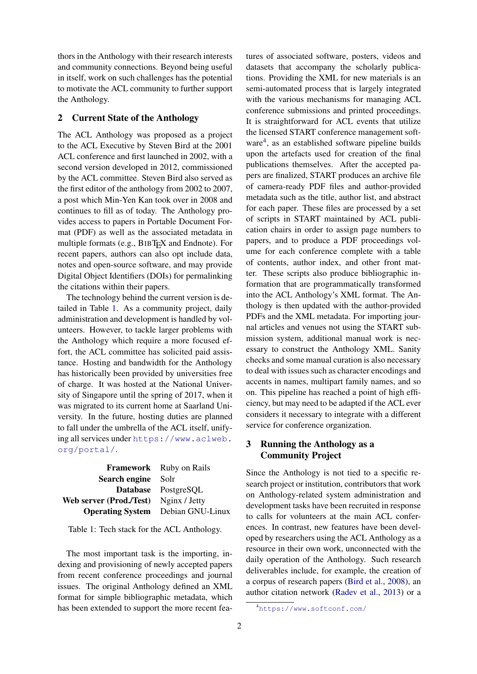thors in the Anthology with their research interests and community connections. Beyond being useful in itself, work on such challenges has the potential to motivate the ACL community to further support the Anthology.

## 2 Current State of the Anthology

The ACL Anthology was proposed as a project to the ACL Executive by Steven Bird at the 2001 ACL conference and first launched in 2002, with a second version developed in 2012, commissioned by the ACL committee. Steven Bird also served as the first editor of the anthology from 2002 to 2007, a post which Min-Yen Kan took over in 2008 and continues to fill as of today. The Anthology provides access to papers in Portable Document Format (PDF) as well as the associated metadata in multiple formats (e.g., BIBT<sub>E</sub>X and Endnote). For recent papers, authors can also opt include data, notes and open-source software, and may provide Digital Object Identifiers (DOIs) for permalinking the citations within their papers.

The technology behind the current version is detailed in Table [1.](#page-1-0) As a community project, daily administration and development is handled by volunteers. However, to tackle larger problems with the Anthology which require a more focused effort, the ACL committee has solicited paid assistance. Hosting and bandwidth for the Anthology has historically been provided by universities free of charge. It was hosted at the National University of Singapore until the spring of 2017, when it was migrated to its current home at Saarland University. In the future, hosting duties are planned to fall under the umbrella of the ACL itself, unifying all services under [https://www.aclweb.](https://www.aclweb.org/portal/) [org/portal/](https://www.aclweb.org/portal/).

|                                       | <b>Framework</b> Ruby on Rails           |
|---------------------------------------|------------------------------------------|
| Search engine                         | – Solr                                   |
|                                       | Database PostgreSQL                      |
| Web server (Prod./Test) Nginx / Jetty |                                          |
|                                       | <b>Operating System</b> Debian GNU-Linux |

<span id="page-1-0"></span>Table 1: Tech stack for the ACL Anthology.

The most important task is the importing, indexing and provisioning of newly accepted papers from recent conference proceedings and journal issues. The original Anthology defined an XML format for simple bibliographic metadata, which has been extended to support the more recent features of associated software, posters, videos and datasets that accompany the scholarly publications. Providing the XML for new materials is an semi-automated process that is largely integrated with the various mechanisms for managing ACL conference submissions and printed proceedings. It is straightforward for ACL events that utilize the licensed START conference management soft-ware<sup>[4](#page-1-1)</sup>, as an established software pipeline builds upon the artefacts used for creation of the final publications themselves. After the accepted papers are finalized, START produces an archive file of camera-ready PDF files and author-provided metadata such as the title, author list, and abstract for each paper. These files are processed by a set of scripts in START maintained by ACL publication chairs in order to assign page numbers to papers, and to produce a PDF proceedings volume for each conference complete with a table of contents, author index, and other front matter. These scripts also produce bibliographic information that are programmatically transformed into the ACL Anthology's XML format. The Anthology is then updated with the author-provided PDFs and the XML metadata. For importing journal articles and venues not using the START submission system, additional manual work is necessary to construct the Anthology XML. Sanity checks and some manual curation is also necessary to deal with issues such as character encodings and accents in names, multipart family names, and so on. This pipeline has reached a point of high efficiency, but may need to be adapted if the ACL ever considers it necessary to integrate with a different service for conference organization.

# 3 Running the Anthology as a Community Project

Since the Anthology is not tied to a specific research project or institution, contributors that work on Anthology-related system administration and development tasks have been recruited in response to calls for volunteers at the main ACL conferences. In contrast, new features have been developed by researchers using the ACL Anthology as a resource in their own work, unconnected with the daily operation of the Anthology. Such research deliverables include, for example, the creation of a corpus of research papers [\(Bird et al.,](#page-5-1) [2008\)](#page-5-1), an author citation network [\(Radev et al.,](#page-5-4) [2013\)](#page-5-4) or a

<span id="page-1-1"></span><sup>4</sup><https://www.softconf.com/>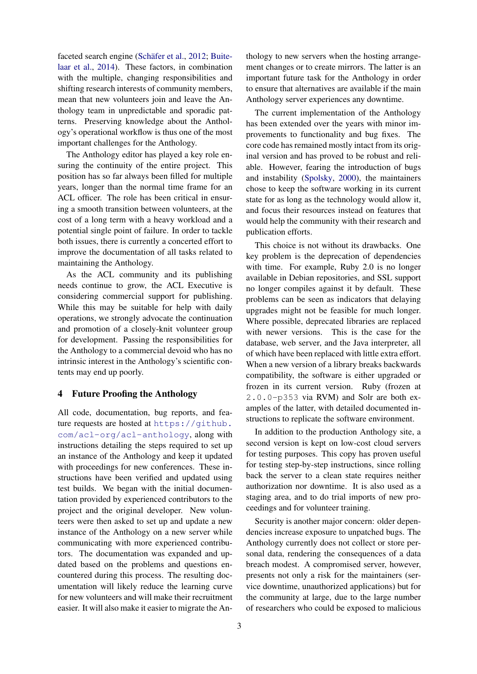faceted search engine (Schäfer et al., [2012;](#page-5-5) [Buite](#page-5-6)[laar et al.,](#page-5-6) [2014\)](#page-5-6). These factors, in combination with the multiple, changing responsibilities and shifting research interests of community members, mean that new volunteers join and leave the Anthology team in unpredictable and sporadic patterns. Preserving knowledge about the Anthology's operational workflow is thus one of the most important challenges for the Anthology.

The Anthology editor has played a key role ensuring the continuity of the entire project. This position has so far always been filled for multiple years, longer than the normal time frame for an ACL officer. The role has been critical in ensuring a smooth transition between volunteers, at the cost of a long term with a heavy workload and a potential single point of failure. In order to tackle both issues, there is currently a concerted effort to improve the documentation of all tasks related to maintaining the Anthology.

As the ACL community and its publishing needs continue to grow, the ACL Executive is considering commercial support for publishing. While this may be suitable for help with daily operations, we strongly advocate the continuation and promotion of a closely-knit volunteer group for development. Passing the responsibilities for the Anthology to a commercial devoid who has no intrinsic interest in the Anthology's scientific contents may end up poorly.

### 4 Future Proofing the Anthology

All code, documentation, bug reports, and feature requests are hosted at [https://github.](https://github.com/acl-org/acl-anthology) [com/acl-org/acl-anthology](https://github.com/acl-org/acl-anthology), along with instructions detailing the steps required to set up an instance of the Anthology and keep it updated with proceedings for new conferences. These instructions have been verified and updated using test builds. We began with the initial documentation provided by experienced contributors to the project and the original developer. New volunteers were then asked to set up and update a new instance of the Anthology on a new server while communicating with more experienced contributors. The documentation was expanded and updated based on the problems and questions encountered during this process. The resulting documentation will likely reduce the learning curve for new volunteers and will make their recruitment easier. It will also make it easier to migrate the Anthology to new servers when the hosting arrangement changes or to create mirrors. The latter is an important future task for the Anthology in order to ensure that alternatives are available if the main Anthology server experiences any downtime.

The current implementation of the Anthology has been extended over the years with minor improvements to functionality and bug fixes. The core code has remained mostly intact from its original version and has proved to be robust and reliable. However, fearing the introduction of bugs and instability [\(Spolsky,](#page-5-7) [2000\)](#page-5-7), the maintainers chose to keep the software working in its current state for as long as the technology would allow it, and focus their resources instead on features that would help the community with their research and publication efforts.

This choice is not without its drawbacks. One key problem is the deprecation of dependencies with time. For example, Ruby 2.0 is no longer available in Debian repositories, and SSL support no longer compiles against it by default. These problems can be seen as indicators that delaying upgrades might not be feasible for much longer. Where possible, deprecated libraries are replaced with newer versions. This is the case for the database, web server, and the Java interpreter, all of which have been replaced with little extra effort. When a new version of a library breaks backwards compatibility, the software is either upgraded or frozen in its current version. Ruby (frozen at 2.0.0-p353 via RVM) and Solr are both examples of the latter, with detailed documented instructions to replicate the software environment.

In addition to the production Anthology site, a second version is kept on low-cost cloud servers for testing purposes. This copy has proven useful for testing step-by-step instructions, since rolling back the server to a clean state requires neither authorization nor downtime. It is also used as a staging area, and to do trial imports of new proceedings and for volunteer training.

Security is another major concern: older dependencies increase exposure to unpatched bugs. The Anthology currently does not collect or store personal data, rendering the consequences of a data breach modest. A compromised server, however, presents not only a risk for the maintainers (service downtime, unauthorized applications) but for the community at large, due to the large number of researchers who could be exposed to malicious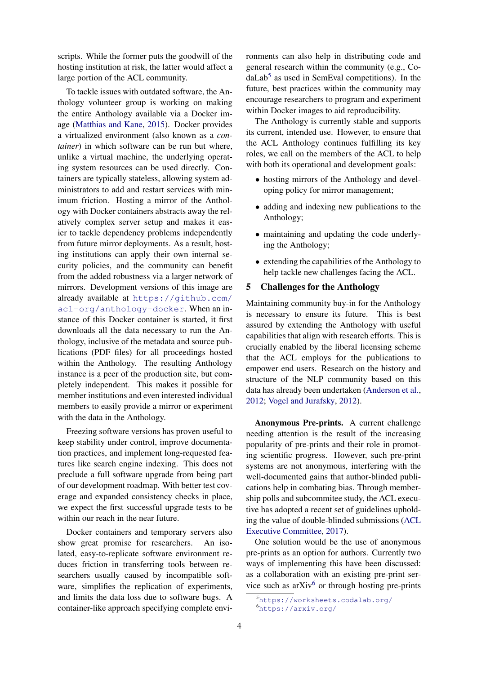scripts. While the former puts the goodwill of the hosting institution at risk, the latter would affect a large portion of the ACL community.

To tackle issues with outdated software, the Anthology volunteer group is working on making the entire Anthology available via a Docker image [\(Matthias and Kane,](#page-5-8) [2015\)](#page-5-8). Docker provides a virtualized environment (also known as a *container*) in which software can be run but where, unlike a virtual machine, the underlying operating system resources can be used directly. Containers are typically stateless, allowing system administrators to add and restart services with minimum friction. Hosting a mirror of the Anthology with Docker containers abstracts away the relatively complex server setup and makes it easier to tackle dependency problems independently from future mirror deployments. As a result, hosting institutions can apply their own internal security policies, and the community can benefit from the added robustness via a larger network of mirrors. Development versions of this image are already available at [https://github.com/](https://github.com/acl-org/anthology-docker) [acl-org/anthology-docker](https://github.com/acl-org/anthology-docker). When an instance of this Docker container is started, it first downloads all the data necessary to run the Anthology, inclusive of the metadata and source publications (PDF files) for all proceedings hosted within the Anthology. The resulting Anthology instance is a peer of the production site, but completely independent. This makes it possible for member institutions and even interested individual members to easily provide a mirror or experiment with the data in the Anthology.

Freezing software versions has proven useful to keep stability under control, improve documentation practices, and implement long-requested features like search engine indexing. This does not preclude a full software upgrade from being part of our development roadmap. With better test coverage and expanded consistency checks in place, we expect the first successful upgrade tests to be within our reach in the near future.

Docker containers and temporary servers also show great promise for researchers. An isolated, easy-to-replicate software environment reduces friction in transferring tools between researchers usually caused by incompatible software, simplifies the replication of experiments, and limits the data loss due to software bugs. A container-like approach specifying complete environments can also help in distributing code and general research within the community (e.g., Co-daLab<sup>[5](#page-3-0)</sup> as used in SemEval competitions). In the future, best practices within the community may encourage researchers to program and experiment within Docker images to aid reproducibility.

The Anthology is currently stable and supports its current, intended use. However, to ensure that the ACL Anthology continues fulfilling its key roles, we call on the members of the ACL to help with both its operational and development goals:

- hosting mirrors of the Anthology and developing policy for mirror management;
- adding and indexing new publications to the Anthology;
- maintaining and updating the code underlying the Anthology;
- extending the capabilities of the Anthology to help tackle new challenges facing the ACL.

### 5 Challenges for the Anthology

Maintaining community buy-in for the Anthology is necessary to ensure its future. This is best assured by extending the Anthology with useful capabilities that align with research efforts. This is crucially enabled by the liberal licensing scheme that the ACL employs for the publications to empower end users. Research on the history and structure of the NLP community based on this data has already been undertaken [\(Anderson et al.,](#page-5-3) [2012;](#page-5-3) [Vogel and Jurafsky,](#page-5-2) [2012\)](#page-5-2).

Anonymous Pre-prints. A current challenge needing attention is the result of the increasing popularity of pre-prints and their role in promoting scientific progress. However, such pre-print systems are not anonymous, interfering with the well-documented gains that author-blinded publications help in combating bias. Through membership polls and subcommitee study, the ACL executive has adopted a recent set of guidelines upholding the value of double-blinded submissions [\(ACL](#page-5-9) [Executive Committee,](#page-5-9) [2017\)](#page-5-9).

One solution would be the use of anonymous pre-prints as an option for authors. Currently two ways of implementing this have been discussed: as a collaboration with an existing pre-print service such as  $arXiv^6$  $arXiv^6$  or through hosting pre-prints

<span id="page-3-1"></span><span id="page-3-0"></span><sup>5</sup><https://worksheets.codalab.org/> <sup>6</sup><https://arxiv.org/>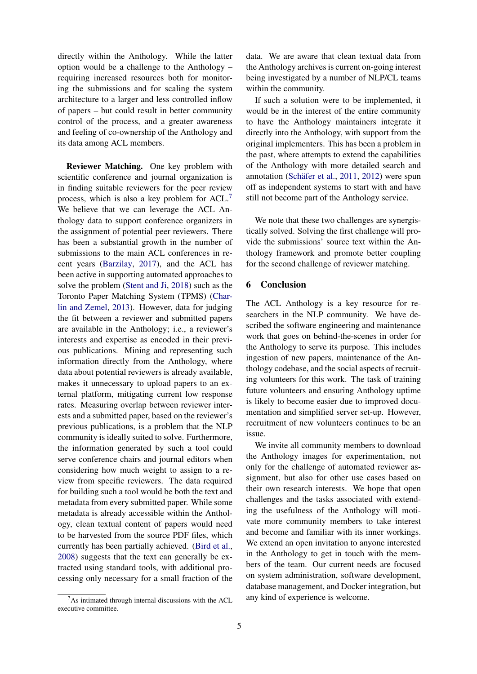directly within the Anthology. While the latter option would be a challenge to the Anthology – requiring increased resources both for monitoring the submissions and for scaling the system architecture to a larger and less controlled inflow of papers – but could result in better community control of the process, and a greater awareness and feeling of co-ownership of the Anthology and its data among ACL members.

Reviewer Matching. One key problem with scientific conference and journal organization is in finding suitable reviewers for the peer review process, which is also a key problem for ACL.[7](#page-4-0) We believe that we can leverage the ACL Anthology data to support conference organizers in the assignment of potential peer reviewers. There has been a substantial growth in the number of submissions to the main ACL conferences in recent years [\(Barzilay,](#page-5-10) [2017\)](#page-5-10), and the ACL has been active in supporting automated approaches to solve the problem [\(Stent and Ji,](#page-5-11) [2018\)](#page-5-11) such as the Toronto Paper Matching System (TPMS) [\(Char](#page-5-12)[lin and Zemel,](#page-5-12) [2013\)](#page-5-12). However, data for judging the fit between a reviewer and submitted papers are available in the Anthology; i.e., a reviewer's interests and expertise as encoded in their previous publications. Mining and representing such information directly from the Anthology, where data about potential reviewers is already available, makes it unnecessary to upload papers to an external platform, mitigating current low response rates. Measuring overlap between reviewer interests and a submitted paper, based on the reviewer's previous publications, is a problem that the NLP community is ideally suited to solve. Furthermore, the information generated by such a tool could serve conference chairs and journal editors when considering how much weight to assign to a review from specific reviewers. The data required for building such a tool would be both the text and metadata from every submitted paper. While some metadata is already accessible within the Anthology, clean textual content of papers would need to be harvested from the source PDF files, which currently has been partially achieved. [\(Bird et al.,](#page-5-1) [2008\)](#page-5-1) suggests that the text can generally be extracted using standard tools, with additional processing only necessary for a small fraction of the

data. We are aware that clean textual data from the Anthology archives is current on-going interest being investigated by a number of NLP/CL teams within the community.

If such a solution were to be implemented, it would be in the interest of the entire community to have the Anthology maintainers integrate it directly into the Anthology, with support from the original implementers. This has been a problem in the past, where attempts to extend the capabilities of the Anthology with more detailed search and annotation (Schäfer et al.,  $2011$ ,  $2012$ ) were spun off as independent systems to start with and have still not become part of the Anthology service.

We note that these two challenges are synergistically solved. Solving the first challenge will provide the submissions' source text within the Anthology framework and promote better coupling for the second challenge of reviewer matching.

### 6 Conclusion

The ACL Anthology is a key resource for researchers in the NLP community. We have described the software engineering and maintenance work that goes on behind-the-scenes in order for the Anthology to serve its purpose. This includes ingestion of new papers, maintenance of the Anthology codebase, and the social aspects of recruiting volunteers for this work. The task of training future volunteers and ensuring Anthology uptime is likely to become easier due to improved documentation and simplified server set-up. However, recruitment of new volunteers continues to be an issue.

We invite all community members to download the Anthology images for experimentation, not only for the challenge of automated reviewer assignment, but also for other use cases based on their own research interests. We hope that open challenges and the tasks associated with extending the usefulness of the Anthology will motivate more community members to take interest and become and familiar with its inner workings. We extend an open invitation to anyone interested in the Anthology to get in touch with the members of the team. Our current needs are focused on system administration, software development, database management, and Docker integration, but any kind of experience is welcome.

<span id="page-4-0"></span> $7As$  intimated through internal discussions with the ACL executive committee.